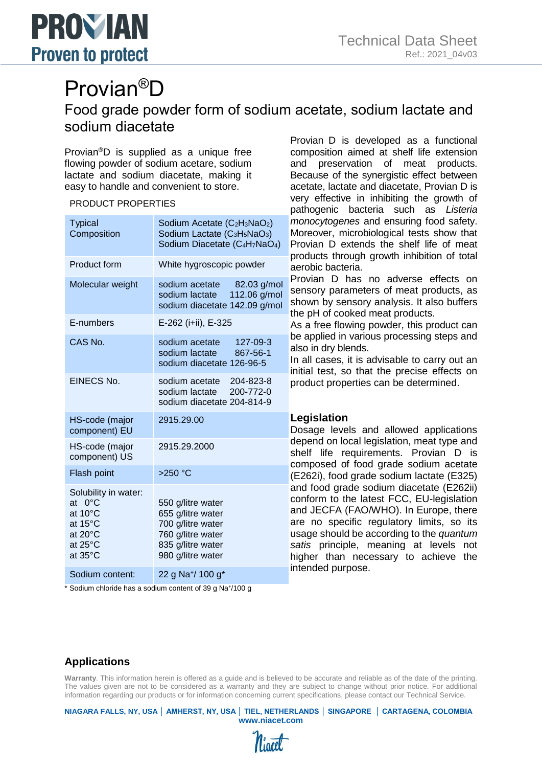

# Provian®D Food grade powder form of sodium acetate, sodium lactate and sodium diacetate

Provian®D is supplied as a unique free flowing powder of sodium acetare, sodium lactate and sodium diacetate, making it easy to handle and convenient to store.

#### PRODUCT PROPERTIES

| <b>Typical</b><br>Composition                                                                             | Sodium Acetate (C <sub>2</sub> H <sub>3</sub> NaO <sub>2</sub> )<br>Sodium Lactate (C <sub>3</sub> H <sub>5</sub> NaO <sub>3</sub> )<br>Sodium Diacetate (C <sub>4</sub> H <sub>7</sub> NaO <sub>4</sub> ) |
|-----------------------------------------------------------------------------------------------------------|------------------------------------------------------------------------------------------------------------------------------------------------------------------------------------------------------------|
| Product form                                                                                              | White hygroscopic powder                                                                                                                                                                                   |
| Molecular weight                                                                                          | sodium acetate<br>82.03 g/mol<br>sodium lactate<br>112.06 g/mol<br>sodium diacetate 142.09 g/mol                                                                                                           |
| E-numbers                                                                                                 | E-262 (i+ii), E-325                                                                                                                                                                                        |
| CAS No.                                                                                                   | sodium acetate<br>127-09-3<br>sodium lactate<br>867-56-1<br>sodium diacetate 126-96-5                                                                                                                      |
| EINECS No.                                                                                                | sodium acetate<br>204-823-8<br>sodium lactate<br>200-772-0<br>sodium diacetate 204-814-9                                                                                                                   |
| HS-code (major<br>component) EU                                                                           | 2915.29.00                                                                                                                                                                                                 |
| HS-code (major<br>component) US                                                                           | 2915.29.2000                                                                                                                                                                                               |
| Flash point                                                                                               | $>250$ °C                                                                                                                                                                                                  |
| Solubility in water:<br>at $0^{\circ}$ C<br>at 10°C<br>at 15°C<br>at 20°C<br>at $25^{\circ}$ C<br>at 35°C | 550 g/litre water<br>655 g/litre water<br>700 g/litre water<br>760 g/litre water<br>835 g/litre water<br>980 g/litre water                                                                                 |
| Sodium content:                                                                                           | 22 g Na <sup>+</sup> / 100 g <sup>*</sup>                                                                                                                                                                  |

\* Sodium chloride has a sodium content of 39 g Na<sup>+</sup> /100 g

Provian D is developed as a functional composition aimed at shelf life extension and preservation of meat products. Because of the synergistic effect between acetate, lactate and diacetate, Provian D is very effective in inhibiting the growth of pathogenic bacteria such as *Listeria monocytogenes* and ensuring food safety. Moreover, microbiological tests show that Provian D extends the shelf life of meat products through growth inhibition of total aerobic bacteria.

Provian D has no adverse effects on sensory parameters of meat products, as shown by sensory analysis. It also buffers the pH of cooked meat products.

As a free flowing powder, this product can be applied in various processing steps and also in dry blends.

In all cases, it is advisable to carry out an initial test, so that the precise effects on product properties can be determined.

### **Legislation**

Dosage levels and allowed applications depend on local legislation, meat type and shelf life requirements. Provian D is composed of food grade sodium acetate (E262i), food grade sodium lactate (E325) and food grade sodium diacetate (E262ii) conform to the latest FCC, EU-legislation and JECFA (FAO/WHO). In Europe, there are no specific regulatory limits, so its usage should be according to the *quantum satis* principle, meaning at levels not higher than necessary to achieve the intended purpose.

## **Applications**

**Warranty**. This information herein is offered as a guide and is believed to be accurate and reliable as of the date of the printing. The values given are not to be considered as a warranty and they are subject to change without prior notice. For additional information regarding our products or for information concerning current specifications, please contact our Technical Service.

**NIAGARA FALLS, NY, USA │ AMHERST, NY, USA │ TIEL, NETHERLANDS │ SINGAPORE │ CARTAGENA, COLOMBIA www.niacet.com**